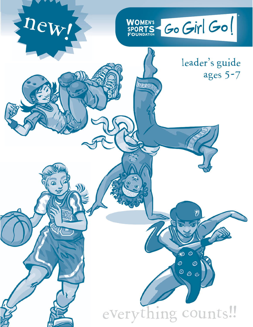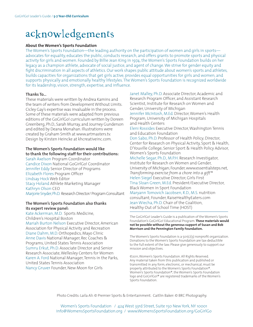## acknowledgements

#### **About the Women's Sports Foundation**

The Women's Sports Foundation—the leading authority on the participation of women and girls in sports advocates for equality, educates the public, conducts research, and offers grants to promote sports and physical activity for girls and women. Founded by Billie Jean King in 1974, the Women's Sports Foundation builds on her legacy as a champion athlete, advocate of social justice, and agent of change. We strive for gender equity and fight discrimination in all aspects of athletics. Our work shapes public attitude about women's sports and athletes, builds capacities for organizations that get girls active, provides equal opportunities for girls and women, and supports physically and emotionally healthy lifestyles. The Women's Sports Foundation is recognized worldwide for its leadership, vision, strength, expertise, and influence.

#### **Thanks To...**

These materials were written by Andrea Kamins and the team of writers from Development Without Limits. Cicley Gay's expertise was invaluable in the process. Some of these materials were adapted from previous editions of the GoGirlGo! curriculum written by Doreen Greenberg, Ph.D., Sarah Murray, and Journey Gunderson and edited by Deana Monahan. Illustrations were created by Graham Smith at www.artmasters.tv. Design by Kirsten Heincke at khcreativeinc.com.

#### **The Women's Sports Foundation would like to thank the following staff for their contributions:**

Sarah Axelson Program Coordinator Candice Dixon National GoGirlGo! Coordinator Jennifer Eddy Senior Director of Programs Elizabeth Flores Program Officer Lindsay Hock Web Editor Stacy Holand Athlete Marketing Manager Kathryn Olson CEO Marjorie Snyder, Ph.D. Research Director/ Program Consultant

#### **The Women's Sports Foundation also thanks its expert review panel:**

Kate Ackerman, M.D. Sports Medicine, Children's Hospital Boston Mariah Burton Nelson Executive Director, American Association for Physical Activity and Recreation Diane Dahm, M.D. Orthopedics, Mayo Clinic Anne Davis National Manager, Rec Coaches & Programs, United States Tennis Association Sumru Erkut, Ph.D. Associate Director and Senior Research Associate, Wellesley Centers for Women Karen A. Ford National Manager, Tennis in the Parks, United States Tennis Association Nancy Gruver Founder, New Moon for Girls

Janet Malley, Ph.D. Associate Director, Academic and Research Program Officer, and Assistant Research Scientist, Institute for Research on Women and Gender, University of Michigan Jennifer McIntosh, M.Ed. Director, Women's Health Program, University of Michigan Hospitals and Health Centers Eleni Rossides Executive Director, Washington Tennis and Education Foundation Don Sabo, Ph.D. Professor of Health Policy; Director, Center for Research on Physical Activity, Sport & Health, D'Youville College; Senior Sport & Health Policy Advisor, Women's Sports Foundation Michelle Segar, Ph.D., M.P.H. Research Investigator, Institute for Research on Women and Gender, University of Michigan; Founder, www.essentialsteps.net, *Transforming exercise from a chore into a gift*™ Helen Siegel Executive Director, Girls First Tina Sloan Green, M.Ed. President/Executive Director, Black Women in Sport Foundation Maryann Tomovich Jacobsen, R.D., M.S. nutrition consultant; Founder, RaiseHealthyEaters.com Jean Wiecha, Ph.D. Chair of the Coalition, Healthy Out of School Time (HOST)

The GoGirlGo! Leader's Guide is a publication of the Women's Sports Foundation's GoGirlGo! Educational Program. **These materials would not be possible without the generous support of Susan and Bob Morrison and the Pennington Family Foundation.**

The Women's Sports Foundation is a 501(c)(3) nonprofit organization. Donations to the Women's Sports Foundation are tax-deductible to the full extent of the law. Please give generously to support our mission and objectives.

©2011, Women's Sports Foundation. All Rights Reserved. Any material taken from this publication and published or transmitted in any form, electronic, or mechanical, must be properly attributed to the Women's Sports Foundation®. Women's Sports Foundation®, the Women's Sports Foundation logo and GoGirlGo!® are registered trademarks of the Women's Sports Foundation.

Photo Credits: Laila Ali: © Premier Sports & Entertainment. Caitlin Baker: © BRC Photography.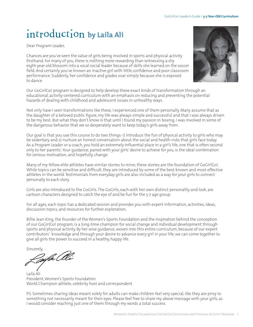## introduction **by Laila Ali**

Dear Program Leader,

Chances are you've seen the value of girls being involved in sports and physical activity firsthand. For many of you, there is nothing more rewarding than witnessing a shy eight-year-old blossom into a vocal social leader because of skills she learned on the soccer field. And certainly you've known an inactive girl with little confidence and poor classroom performance. Suddenly, her confidence and grades soar simply because she is exposed to dance.

Our GoGirlGo! program is designed to help develop these exact kinds of transformation through an educational, activity-centered curriculum with an emphasis on reducing and preventing the potential hazards of dealing with childhood and adolescent issues in unhealthy ways.

Not only have I seen transformations like these, I experienced one of them personally. Many assume that as the daughter of a beloved public figure, my life was always simple and successful and that I was always driven to be my best. But what they don't know is that until I found my passion in boxing, I was involved in some of the dangerous behavior that we so desperately want to keep today's girls away from.

Our goal is that you use this course to do two things: 1) introduce the fun of physical activity to girls who may be sedentary and 2) nurture an honest conversation about the social and health-risks that girls face today. As a Program Leader or a coach, you hold an extremely influential place in a girl's life, one that is often second only to her parents'. Your guidance, paired with your girls' desire to achieve for you, is the ideal combination for serious motivation, and hopefully, change.

Many of my fellow elite athletes have similar stories to mine; these stories are the foundation of GoGirlGo!. While topics can be sensitive and difficult, they are introduced by some of the best-known and most-effective athletes in the world. Testimonials from everyday girls are also included as a way for your girls to connect personally to each story.

Girls are also introduced to the GoGirls. The GoGirls, each with her own distinct personality and look, are cartoon characters designed to catch the eye of and be fun for the 5-7 age group.

For all ages, each topic has a dedicated session and provides you with expert information, activities, ideas, discussion topics, and resources for further exploration.

Billie Jean King, the founder of the Women's Sports Foundation and the inspiration behind the conception of our GoGirlGo! program, is a long-time champion for social change and individual development through sports and physical activity. By her wise guidance, woven into this entire curriculum, because of our expert contributors' knowledge and through your desire to advance every girl in your life, we can come together to give all girls the power to succeed in a healthy, happy life.

Sincerely,<br>*Paille* Clle

Laila Ali President, Women's Sports Foundation World Champion athlete, celebrity host and correspondent

P.S. Sometimes sharing ideas meant solely for adults can make children feel very special, like they are privy to something not necessarily meant for their eyes. Please feel free to share my above message with your girls, as I would consider reaching just one of them through my words a total success.

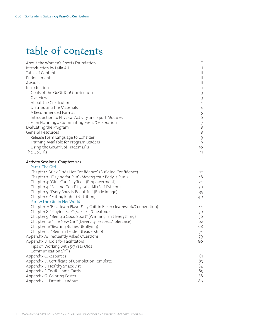## table of contents

| About the Women's Sports Foundation                                    | IC                                              |
|------------------------------------------------------------------------|-------------------------------------------------|
| Introduction by Laila Ali                                              | $\perp$                                         |
| Table of Contents                                                      | $\vert\vert$                                    |
| Endorsements                                                           | $\left\vert \right\vert \left\vert \right\vert$ |
| Awards                                                                 | $\mathbf{III}$                                  |
| Introduction                                                           | $\mathbf{1}$                                    |
| Goals of the GoGirlGo! Curriculum                                      | $\mathcal{E}$                                   |
| Overview                                                               | $\overline{3}$                                  |
| About the Curriculum                                                   | $\overline{4}$                                  |
| Distributing the Materials                                             | $\overline{4}$                                  |
| A Recommended Format                                                   |                                                 |
| Introduction to Physical Activity and Sport Modules                    | $\begin{array}{c} 5 \\ 6 \end{array}$           |
| Tips on Planning a Culminating Event/Celebration                       | $\boldsymbol{7}$                                |
| Evaluating the Program                                                 | $\overline{8}$                                  |
| General Resources                                                      | 8                                               |
| Release Form Language to Consider                                      | $\mathcal{G}$                                   |
| Training Available for Program Leaders                                 | $\mathcal{G}$                                   |
| Using the GoGirlGo! Trademarks                                         | 10 <sup>°</sup>                                 |
| The GoGirls                                                            | 11                                              |
|                                                                        |                                                 |
| Activity Sessions: Chapters 1-12                                       |                                                 |
| Part 1: The Girl                                                       |                                                 |
| Chapter 1: "Alex Finds Her Confidence" (Building Confidence)           | 12                                              |
| Chapter 2: "Playing for Fun" (Moving Your Body is Fun!)                | 18                                              |
| Chapter 3: "Girls Can Play Too!" (Empowerment)                         | 24                                              |
| Chapter 4: "Feeling Good" by Laila Ali (Self-Esteem)                   | 30                                              |
| Chapter 5: "Every Body is Beautiful" (Body Image)                      | 35                                              |
| Chapter 6: "Eating Right" (Nutrition)                                  | 40                                              |
| Part 2: The Girl in Her World                                          |                                                 |
| Chapter 7: "Be a Team Player!" by Caitlin Baker (Teamwork/Cooperation) | 44                                              |
| Chapter 8: "Playing Fair" (Fairness/Cheating)                          | 50                                              |
| Chapter 9: "Being a Good Sport" (Winning Isn't Everything)             | 56                                              |
| Chapter 10: "The New Girl" (Diversity: Respect/Tolerance)              | 62                                              |
| Chapter 11: "Beating Bullies" (Bullying)                               | 68                                              |
| Chapter 12: "Being a Leader" (Leadership)                              | 74                                              |
| Appendix A: Frequently Asked Questions                                 | 79                                              |
| Appendix B: Tools for Facilitators                                     | 80                                              |
| Tips on Working with 5-7 Year Olds                                     |                                                 |

 Communication Skills Appendix C: Resources 81<br>Appendix D: Certificate of Completion Template 83 Appendix D: Certificate of Completion Template 83 Appendix E: Healthy Snack List 84<br>Appendix F: Try @ Home Cards 85 Appendix F: Try @ Home Cards Appendix G: Coloring Poster 88 Appendix H: Parent Handout 89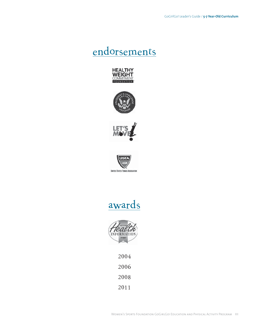## endorsements













2004 2006 2008

2011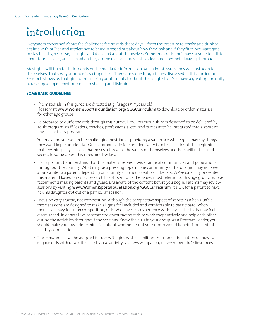# introduction

Everyone is concerned about the challenges facing girls these days—from the pressure to smoke and drink to dealing with bullies and intolerance to being stressed out about how they look and if they fit in. We want girls to stay healthy, be active, eat right, and feel good about themselves. Sometimes girls don't have anyone to talk to about tough issues, and even when they do, the message may not be clear and does not always get through.

Most girls will turn to their friends or the media for information. And a lot of issues they will just keep to themselves. That's why your role is so important. There are some tough issues discussed in this curriculum. Research shows us that girls want a caring adult to talk to about the tough stuff. You have a great opportunity to develop an open environment for sharing and listening.

#### **SOME BASIC GUIDELINES**

- The materials in this quide are directed at girls ages 5-7 years old. Please visit **www.WomensSportsFoundation.org/GGGCurriculum** to download or order materials for other age groups.
- Be prepared to guide the girls through this curriculum. This curriculum is designed to be delivered by adult program staff, leaders, coaches, professionals, etc., and is meant to be integrated into a sport or physical activity program.
- You may find yourself in the challenging position of providing a safe place where girls may say things they want kept confidential. One common code for confidentiality is to tell the girls at the beginning that anything they disclose that poses a threat to the safety of themselves or others will not be kept secret. In some cases, this is required by law.
- It's important to understand that this material serves a wide range of communities and populations throughout the country. What may be a pressing topic in one community, or for one girl, may not seem appropriate to a parent, depending on a family's particular values or beliefs. We've carefully presented this material based on what research has shown to be the issues most relevant to this age group, but we recommend making parents and guardians aware of the content before you begin. Parents may review sessions by visiting **www.WomensSportsFoundation.org/GGGCurriculum**. It's OK for a parent to have her/his daughter opt out of a particular session.
- Focus on *cooperation*, not competition. Although the competitive aspect of sports can be valuable, these sessions are designed to make all girls feel included and comfortable to participate. When there is a heavy focus on competition, girls who have less experience with physical activity may feel discouraged. In general, we recommend encouraging girls to work cooperatively and help each other during the activities throughout the sessions. Know the girls in your group. As a Program Leader, you should make your own determination about whether or not your group would benefit from a bit of healthy competition.
- These materials can be adapted for use with girls with disabilities. For more information on how to engage girls with disabilities in physical activity, visit www.aapar.org or see Appendix C: Resources.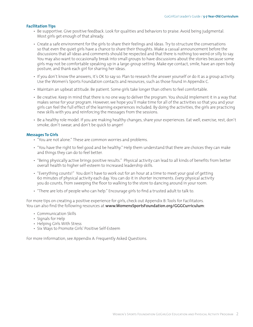#### **Facilitation Tips**

- Be supportive. Give positive feedback. Look for qualities and behaviors to praise. Avoid being judgmental. Most girls get enough of that already.
- Create a safe environment for the girls to share their feelings and ideas. Try to structure the conversations so that even the quiet girls have a chance to share their thoughts. Make a casual announcement before the discussions that all ideas and comments should be respected and that there is nothing too weird or silly to say. You may also want to occasionally break into small groups to have discussions about the stories because some girls may not be comfortable speaking up in a large-group setting. Make eye contact, smile, have an open body posture, and thank each girl for sharing her ideas.
- If you don't know the answers, it's OK to say so. Plan to research the answer yourself or do it as a group activity. Use the Women's Sports Foundation contacts and resources, such as those found in Appendix C.
- Maintain an upbeat attitude. Be patient. Some girls take longer than others to feel comfortable.
- Be creative. Keep in mind that there is no one way to deliver the program. You should implement it in a way that makes sense for your program. However, we hope you'll make time for all of the activities so that you and your girls can feel the full effect of the learning experiences included. By doing the activities, the girls are practicing new skills with you and reinforcing the messages from the sessions.
- Be a healthy role model. If you are making healthy changes, share your experiences. Eat well, exercise, rest, don't smoke, don't swear, and don't be quick to anger!

#### **Messages To Girls**

- "You are not alone." These are common worries and problems.
- "You have the right to feel good and be healthy." Help them understand that there are choices they can make and things they can do to feel better.
- "Being physically active brings positive results." Physical activity can lead to all kinds of benefits from better overall health to higher self-esteem to increased leadership skills.
- "Everything counts!" You don't have to work out for an hour at a time to meet your goal of getting 60 minutes of physical activity each day. You can do it in shorter increments. *Every* physical activity you do counts, from sweeping the floor to walking to the store to dancing around in your room.
- "There are lots of people who can help." Encourage girls to find a trusted adult to talk to.

For more tips on creating a positive experience for girls, check out Appendix B: Tools for Facilitators. You can also find the following resources at **www.WomensSportsFoundation.org/GGGCurriculum**:

- Communication Skills
- Signals for Help
- Helping Girls With Stress
- Six Ways to Promote Girls' Positive Self-Esteem

For more information, see Appendix A: Frequently Asked Questions.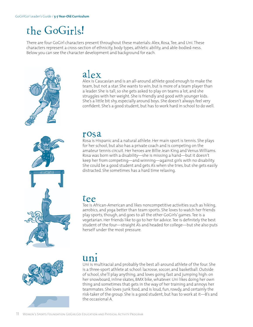## the GoGirls!

There are four GoGirl characters present throughout these materials: Alex, Rosa, Tee, and Uni. These characters represent a cross-section of ethnicity, body types, athletic ability, and able-bodied-ness. Below you can see the character development and background for each.



### alex

Alex is Caucasian and is an all-around athlete good enough to make the team, but not a star. She wants to win, but is more of a team player than a leader. She is tall, so she gets asked to play on teams a lot, and she struggles with her weight. She is friendly and good with younger kids. She's a little bit shy, especially around boys. She doesn't always feel very confident. She's a good student, but has to work hard in school to do well.



### rosa

Rosa is Hispanic and a natural athlete. Her main sport is tennis. She plays for her school, but also has a private coach and is competing on the amateur tennis circuit. Her heroes are Billie Jean King and Venus Williams. Rosa was born with a disability—she is missing a hand—but it doesn't keep her from competing—and winning—against girls with no disability. She could be a good student and gets A's when she tries, but she gets easily distracted. She sometimes has a hard time relaxing.

### tee

Tee is African-American and likes noncompetitive activities such as hiking, aerobics, and yoga better than team sports. She loves to watch her friends play sports, though, and goes to all the other GoGirls' games. Tee is a vegetarian. Her friends like to go to her for advice. Tee is definitely the best student of the four—straight A's and headed for college—but she also puts herself under the most pressure.





## uni

Uni is multiracial and probably the best all-around athlete of the four. She is a three-sport athlete at school: lacrosse, soccer, and basketball. Outside of school, she'll play anything, and loves going fast and jumping high: on her snowboard, inline skates, BMX bike, whatever. Uni likes doing her own thing and sometimes that gets in the way of her training and annoys her teammates. She loves junk food, and is loud, fun, rowdy, and certainly the risk-taker of the group. She is a good student, but has to work at it—B's and the occasional A.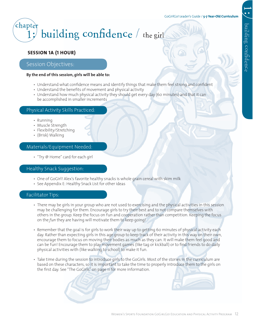#### GoGirlGo! Leader's Guide / **5-7 Year-Old Curriculum**

## building confidence  $/$  the girl chapter

### **SESSION 1A (1 HOUR)**

### Session Objectives:

#### **By the end of this session, girls will be able to:**

- Understand what confidence means and identify things that make them feel strong and confident
- Understand the benefits of movement and physical activity
- Understand how much physical activity they should get every day (60 minutes) and that it can be accomplished in smaller increments

#### Physical Activity Skills Practiced:

- Running
- Muscle Strength
- Flexibility/Stretching
- (Brisk) Walking

#### Materials/Equipment Needed:

• "Try @ Home" card for each girl

#### Healthy Snack Suggestion:

- One of GoGirl! Alex's favorite healthy snacks is whole grain cereal with skim milk
- See Appendix E: Healthy Snack List for other ideas

#### Facilitator Tips:

- There may be girls in your group who are not used to exercising and the physical activities in this session may be challenging for them. Encourage girls to try their best and to not compare themselves with others in the group. Keep the focus on fun and cooperation rather than competition. Keeping the focus on the *fun* they are having will motivate them to keep going!
- Remember that the goal is for girls to work their way up to getting 60 minutes of physical activity each day. Rather than expecting girls in this age group to keep track of their activity in this way on their own, encourage them to focus on moving their bodies as much as they can. It will make them feel good and can be fun! Encourage them to play movement games (like tag or kickball) or to find friends to do daily physical activities with (like walking to school) to make it fun.
- Take time during the session to introduce girls to the GoGirls. Most of the stories in the curriculum are based on these characters, so it is important to take the time to properly introduce them to the girls on the first day. See "The GoGirls" on page 11 for more information.



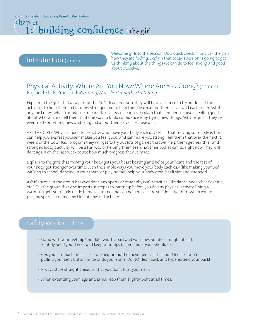GoGirlGo! Leader's Guide / **5-7 Year-Old Curriculum**

### 1: building confidence / the girl chapter

### Introduction (5 min)

Welcome girls to the session. Do a quick check-in and ask the girls how they are feeling. Explain that today's session is going to get us thinking about the things we can do to feel strong and good about ourselves.

### Physical Activity: Where Are You Now/Where Are You Going? (20 min) Physical Skills Practiced: *Running, Muscle Strength, Stretching*

Explain to the girls that as a part of the GoGirlGo! program, they will have a chance to try out lots of fun activities to help their bodies grow stronger and to help them learn about themselves and each other. Ask if anyone knows what "confidence" means. Take a few responses. Explain that confidence means feeling good about who you are. Tell them that one way to build confidence is by trying new things. Ask the girls if they've ever tried something new and felt good about themselves because of it.

ASK THE GIRLS: Why is it good to be active and move your body each day? Elicit that moving your body is fun, can help you express yourself, makes you feel good, and can make you strong! Tell them that over the next 12 weeks of the GoGirlGo! program they will get to try out lots of games that will help them get healthier and stronger. Today's activity will be a fun way of helping them see what their bodies can do right now. They will do it again on the last week to see how much progress they've made.

Explain to the girls that moving your body gets your heart beating and helps your heart and the rest of your body get stronger over time. Even the simple ways you move your body each day (like making your bed, walking to school, dancing in your room, or playing tag) help your body grow healthier and stronger!

Ask if anyone in the group has ever done any sports or other physical activities (like dance, yoga, cheerleading, etc.). Tell the group that one important step is to warm up before you do any physical activity. Doing a warm-up gets your body ready to move around and can help make sure you don't get hurt when you're playing sports or doing any kind of physical activity.

### Safety Workout Tips:

- Stand with your feet hip/shoulder width apart and your toes pointed straight ahead. Slightly bend your knees and keep your hips in line under your shoulders.
- Flex your stomach muscles before beginning the movements. This should feel like you're pulling your belly button in towards your spine. Do NOT lean back and hyperextend your back!
- Always stare straight ahead so that you don't hurt your neck.
- When extending your legs and arms, keep them slightly bent at all times.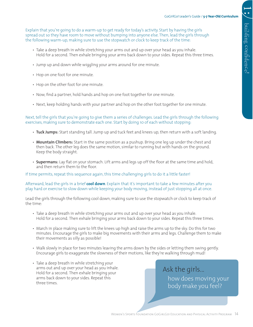Explain that you're going to do a warm-up to get ready for today's activity. Start by having the girls spread out so they have room to move without bumping into anyone else. Then, lead the girls through the following warm-up, making sure to use the stopwatch or clock to keep track of the time:

- Take a deep breath in while stretching your arms out and up over your head as you inhale. Hold for a second. Then exhale bringing your arms back down to your sides. Repeat this three times.
- Jump up and down while wiggling your arms around for one minute.
- Hop on one foot for one minute.
- Hop on the other foot for one minute.
- Now, find a partner, hold hands and hop on one foot together for one minute.
- Next, keep holding hands with your partner and hop on the other foot together for one minute.

Next, tell the girls that you're going to give them a series of challenges. Lead the girls through the following exercises, making sure to demonstrate each one. Start by doing 10 of each without stopping:

- **Tuck Jumps:** Start standing tall. Jump up and tuck feet and knees up, then return with a soft landing.
- **Mountain Climbers:** Start in the same position as a pushup. Bring one leg up under the chest and then back. The other leg does the same motion, similar to running but with hands on the ground. Keep the body straight.
- **Supermans:** Lay flat on your stomach. Lift arms and legs up off the floor at the same time and hold, and then return them to the floor.

If time permits, repeat this sequence again, this time challenging girls to do it a little faster!

Afterward, lead the girls in a brief **cool down**. Explain that it's important to take a few minutes after you play hard or exercise to slow down while keeping your body moving, instead of just stopping all at once.

Lead the girls through the following cool down, making sure to use the stopwatch or clock to keep track of the time:

- Take a deep breath in while stretching your arms out and up over your head as you inhale. Hold for a second. Then exhale bringing your arms back down to your sides. Repeat this three times.
- March in place making sure to lift the knees up high and raise the arms up to the sky. Do this for two minutes. Encourage the girls to make big movements with their arms and legs. Challenge them to make their movements as silly as possible!
- Walk slowly in place for two minutes leaving the arms down by the sides or letting them swing gently. Encourage girls to exaggerate the slowness of their motions, like they're walking through mud!
- Take a deep breath in while stretching your arms out and up over your head as you inhale. Hold for a second. Then exhale bringing your arms back down to your sides. Repeat this three times.

Ask the girls... how does moving your body make you feel?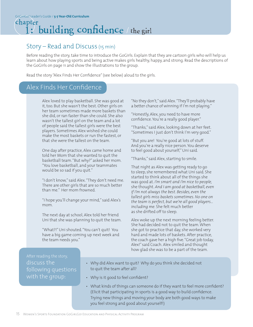### Story – Read and Discuss (15 min)

Before reading the story, take time to introduce the GoGirls. Explain that they are cartoon girls who will help us learn about how playing sports and being active makes girls healthy, happy, and strong. Read the descriptions of the GoGirls on page 11 and show the illustrations to the group.

Read the story "Alex Finds Her Confidence" (see below) aloud to the girls.

### Alex Finds Her Confidence

Alex loved to play basketball. She was good at it, too. But she wasn't the best. Other girls on her team sometimes made more baskets than she did, or ran faster than she could. She also wasn't the tallest girl on the team and a lot of people said the tallest girls were the best players. Sometimes Alex wished she could make the most baskets or run the fastest, or that she were the tallest on the team.

One day after practice, Alex came home and told her Mom that she wanted to quit the basketball team. "But why?" asked her mom. "You love basketball, and your teammates would be so sad if you quit."

"I don't know," said Alex. "They don't need me. There are other girls that are so much better than me." Her mom frowned.

"I hope you'll change your mind," said Alex's mom.

The next day at school, Alex told her friend Uni that she was planning to quit the team.

"What?!" Uni shouted. "You can't quit! You have a big game coming up next week and the team needs you."

"No they don't," said Alex. "They'll probably have a better chance of winning if I'm not playing."

"Honestly, Alex, you need to have more confidence. You're a really good player."

"Thanks," said Alex, looking down at her feet. "Sometimes I just don't think I'm very good."

"But you are! You're good at lots of stuff. And you're a really nice person. You deserve to feel good about yourself," Uni said.

"Thanks," said Alex, starting to smile.

That night as Alex was getting ready to go to sleep, she remembered what Uni said. She started to think about all of the things she was good at. *I'm smart and I'm nice to people,*  she thought. *And I am good at basketball, even if I'm not always the best. Besides, even the tallest girls miss baskets sometimes. No one on the team is perfect, but we're all good players… including me.* She felt much better as she drifted off to sleep.

Alex woke up the next morning feeling better. She had decided not to quit the team. When she got to practice that day, she worked very hard and made lots of baskets. After practice, the coach gave her a high five. "Great job today, Alex!" said Coach. Alex smiled and thought how glad she was to be a part of the team.

### discuss the following questions with the group:

- Why did Alex want to quit? Why do you think she decided not to quit the team after all?
- Why is it good to feel confident?
- What kinds of things can someone do if they want to feel more confident? (Elicit that participating in sports is a good way to build confidence. Trying new things and moving your body are both good ways to make you feel strong and good about yourself!)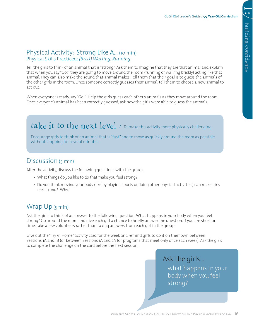### Physical Activity: Strong Like A... (10 min) Physical Skills Practiced: *(Brisk) Walking, Running*

Tell the girls to think of an animal that is "strong." Ask them to imagine that they are that animal and explain that when you say "Go!" they are going to move around the room (running or walking briskly) acting like that animal. They can also make the sound that animal makes. Tell them that their goal is to guess the animals of the other girls in the room. Once someone correctly guesses their animal, tell them to choose a new animal to act out.

When everyone is ready, say "Go!" Help the girls guess each other's animals as they move around the room. Once everyone's animal has been correctly guessed, ask how the girls were able to guess the animals.

## take it to the next level  $\ell$  To make this activity more physically challenging:

Encourage girls to think of an animal that is "fast" and to move as quickly around the room as possible without stopping for several minutes.

### Discussion (5 min)

After the activity, discuss the following questions with the group:

- What things do you like to do that make you feel strong?
- Do you think moving your body (like by playing sports or doing other physical activities) can make girls feel strong? Why?

### Wrap Up (5 min)

Ask the girls to think of an answer to the following question: What happens in your body when you feel strong? Go around the room and give each girl a chance to briefly answer the question. If you are short on time, take a few volunteers rather than taking answers from each girl in the group.

Give out the "Try @ Home" activity card for the week and remind girls to do it on their own between Sessions 1A and 1B (or between Sessions 1A and 2A for programs that meet only once each week). Ask the girls to complete the challenge on the card before the next session.

> Ask the girls... what happens in your body when you feel strong?